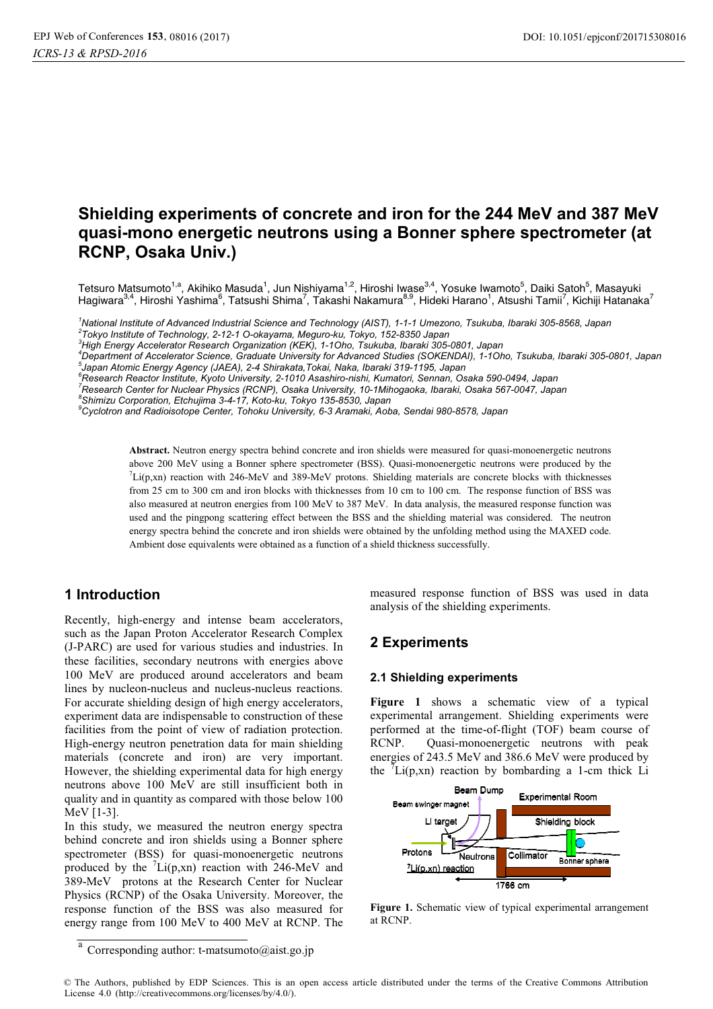# **Shielding experiments of concrete and iron for the 244 MeV and 387 MeV quasi-mono energetic neutrons using a Bonner sphere spectrometer (at RCNP, Osaka Univ.)**

Tetsuro Matsumoto<sup>1,a</sup>, Akihiko Masuda<sup>1</sup>, Jun Nishiyama<sup>1,2</sup>, Hiroshi Iwase<sup>3,4</sup>, Yosuke Iwamoto<sup>5</sup>, Daiki Satoh<sup>5</sup>, Masayuki Hagiwara<sup>3,4</sup>, Hiroshi Yashima<sup>6</sup>, Tatsushi Shima<sup>7</sup>, Takashi Nakamura<sup>8,9</sup>, Hideki Harano<sup>1</sup>, Atsushi Tamii<sup>7</sup>, Kichiji Hatanaka<sup>7</sup>

*1 National Institute of Advanced Industrial Science and Technology (AIST), 1-1-1 Umezono, Tsukuba, Ibaraki 305-8568, Japan 2 Tokyo Institute of Technology, 2-12-1 O-okayama, Meguro-ku, Tokyo, 152-8350 Japan* 

*3 High Energy Accelerator Research Organization (KEK), 1-1Oho, Tsukuba, Ibaraki 305-0801, Japan 4*

*Department of Accelerator Science, Graduate University for Advanced Studies (SOKENDAI), 1-1Oho, Tsukuba, Ibaraki 305-0801, Japan 5 Japan Atomic Energy Agency (JAEA), 2-4 Shirakata,Tokai, Naka, Ibaraki 319-1195, Japan* 

*6 Research Reactor Institute, Kyoto University, 2-1010 Asashiro-nishi, Kumatori, Sennan, Osaka 590-0494, Japan* 

*7 Research Center for Nuclear Physics (RCNP), Osaka University, 10-1Mihogaoka, Ibaraki, Osaka 567-0047, Japan* 

*8 Shimizu Corporation, Etchujima 3-4-17, Koto-ku, Tokyo 135-8530, Japan* 

*9 Cyclotron and Radioisotope Center, Tohoku University, 6-3 Aramaki, Aoba, Sendai 980-8578, Japan* 

**Abstract.** Neutron energy spectra behind concrete and iron shields were measured for quasi-monoenergetic neutrons above 200 MeV using a Bonner sphere spectrometer (BSS). Quasi-monoenergetic neutrons were produced by the  ${}^{7}$ Li(p,xn) reaction with 246-MeV and 389-MeV protons. Shielding materials are concrete blocks with thicknesses from 25 cm to 300 cm and iron blocks with thicknesses from 10 cm to 100 cm. The response function of BSS was also measured at neutron energies from 100 MeV to 387 MeV. In data analysis, the measured response function was used and the pingpong scattering effect between the BSS and the shielding material was considered. The neutron energy spectra behind the concrete and iron shields were obtained by the unfolding method using the MAXED code. Ambient dose equivalents were obtained as a function of a shield thickness successfully.

## **1 Introduction**

Recently, high-energy and intense beam accelerators, such as the Japan Proton Accelerator Research Complex (J-PARC) are used for various studies and industries. In these facilities, secondary neutrons with energies above 100 MeV are produced around accelerators and beam lines by nucleon-nucleus and nucleus-nucleus reactions. For accurate shielding design of high energy accelerators, experiment data are indispensable to construction of these facilities from the point of view of radiation protection. High-energy neutron penetration data for main shielding materials (concrete and iron) are very important. However, the shielding experimental data for high energy neutrons above 100 MeV are still insufficient both in quality and in quantity as compared with those below 100 MeV [1-3].

In this study, we measured the neutron energy spectra behind concrete and iron shields using a Bonner sphere spectrometer (BSS) for quasi-monoenergetic neutrons produced by the  ${}^{7}Li(p,xn)$  reaction with 246-MeV and 389-MeV protons at the Research Center for Nuclear Physics (RCNP) of the Osaka University. Moreover, the response function of the BSS was also measured for energy range from 100 MeV to 400 MeV at RCNP. The

measured response function of BSS was used in data analysis of the shielding experiments.

## **2 Experiments**

### **2.1 Shielding experiments**

**Figure 1** shows a schematic view of a typical experimental arrangement. Shielding experiments were performed at the time-of-flight (TOF) beam course of RCNP. Quasi-monoenergetic neutrons with peak energies of 243.5 MeV and 386.6 MeV were produced by the  $\bar{f}$ Li(p,xn) reaction by bombarding a 1-cm thick Li



**Figure 1.** Schematic view of typical experimental arrangement at RCNP.

© The Authors, published by EDP Sciences. This is an open access article distributed under the terms of the Creative Commons Attribution License 4.0 (http://creativecommons.org/licenses/by/4.0/).

Corresponding author: t-matsumoto@aist.go.jp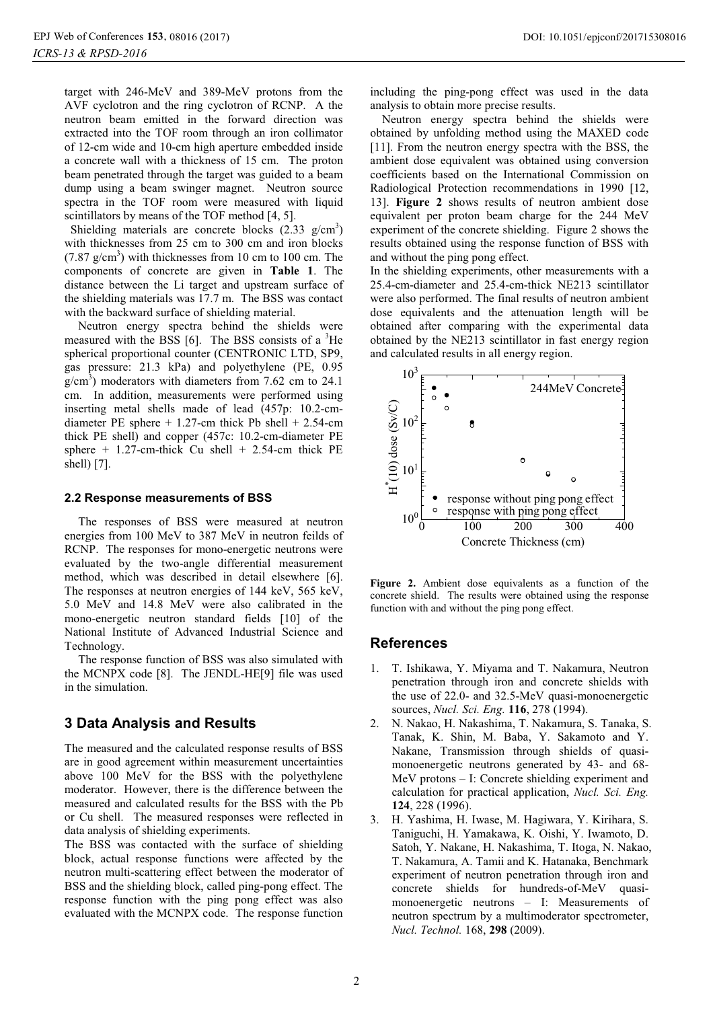target with 246-MeV and 389-MeV protons from the AVF cyclotron and the ring cyclotron of RCNP. A the neutron beam emitted in the forward direction was extracted into the TOF room through an iron collimator of 12-cm wide and 10-cm high aperture embedded inside a concrete wall with a thickness of 15 cm. The proton beam penetrated through the target was guided to a beam dump using a beam swinger magnet. Neutron source spectra in the TOF room were measured with liquid scintillators by means of the TOF method [4, 5].

Shielding materials are concrete blocks  $(2.33 \text{ g/cm}^3)$ with thicknesses from 25 cm to 300 cm and iron blocks  $(7.87 \text{ g/cm}^3)$  with thicknesses from 10 cm to 100 cm. The components of concrete are given in **Table 1**. The distance between the Li target and upstream surface of the shielding materials was 17.7 m. The BSS was contact with the backward surface of shielding material.

Neutron energy spectra behind the shields were measured with the BSS  $[6]$ . The BSS consists of a  ${}^{3}$ He spherical proportional counter (CENTRONIC LTD, SP9, gas pressure: 21.3 kPa) and polyethylene (PE, 0.95  $g/cm^3$ ) moderators with diameters from 7.62 cm to 24.1 cm. In addition, measurements were performed using inserting metal shells made of lead (457p: 10.2-cmdiameter PE sphere  $+ 1.27$ -cm thick Pb shell  $+ 2.54$ -cm thick PE shell) and copper (457c: 10.2-cm-diameter PE sphere  $+$  1.27-cm-thick Cu shell  $+$  2.54-cm thick PE shell) [7].

#### **2.2 Response measurements of BSS**

The responses of BSS were measured at neutron energies from 100 MeV to 387 MeV in neutron feilds of RCNP. The responses for mono-energetic neutrons were evaluated by the two-angle differential measurement method, which was described in detail elsewhere [6]. The responses at neutron energies of 144 keV, 565 keV, 5.0 MeV and 14.8 MeV were also calibrated in the mono-energetic neutron standard fields [10] of the National Institute of Advanced Industrial Science and Technology.

The response function of BSS was also simulated with the MCNPX code [8]. The JENDL-HE[9] file was used in the simulation.

### **3 Data Analysis and Results**

The measured and the calculated response results of BSS are in good agreement within measurement uncertainties above 100 MeV for the BSS with the polyethylene moderator. However, there is the difference between the measured and calculated results for the BSS with the Pb or Cu shell. The measured responses were reflected in data analysis of shielding experiments.

The BSS was contacted with the surface of shielding block, actual response functions were affected by the neutron multi-scattering effect between the moderator of BSS and the shielding block, called ping-pong effect. The response function with the ping pong effect was also evaluated with the MCNPX code. The response function

including the ping-pong effect was used in the data analysis to obtain more precise results.

Neutron energy spectra behind the shields were obtained by unfolding method using the MAXED code [11]. From the neutron energy spectra with the BSS, the ambient dose equivalent was obtained using conversion coefficients based on the International Commission on Radiological Protection recommendations in 1990 [12, 13]. **Figure 2** shows results of neutron ambient dose equivalent per proton beam charge for the 244 MeV experiment of the concrete shielding. Figure 2 shows the results obtained using the response function of BSS with and without the ping pong effect.

In the shielding experiments, other measurements with a 25.4-cm-diameter and 25.4-cm-thick NE213 scintillator were also performed. The final results of neutron ambient dose equivalents and the attenuation length will be obtained after comparing with the experimental data obtained by the NE213 scintillator in fast energy region and calculated results in all energy region.



**Figure 2.** Ambient dose equivalents as a function of the concrete shield. The results were obtained using the response function with and without the ping pong effect.

### **References**

- 1. T. Ishikawa, Y. Miyama and T. Nakamura, Neutron penetration through iron and concrete shields with the use of 22.0- and 32.5-MeV quasi-monoenergetic sources, *Nucl. Sci. Eng.* **116**, 278 (1994).
- 2. N. Nakao, H. Nakashima, T. Nakamura, S. Tanaka, S. Tanak, K. Shin, M. Baba, Y. Sakamoto and Y. Nakane, Transmission through shields of quasimonoenergetic neutrons generated by 43- and 68- MeV protons – I: Concrete shielding experiment and calculation for practical application, *Nucl. Sci. Eng.* **124**, 228 (1996).
- 3. H. Yashima, H. Iwase, M. Hagiwara, Y. Kirihara, S. Taniguchi, H. Yamakawa, K. Oishi, Y. Iwamoto, D. Satoh, Y. Nakane, H. Nakashima, T. Itoga, N. Nakao, T. Nakamura, A. Tamii and K. Hatanaka, Benchmark experiment of neutron penetration through iron and concrete shields for hundreds-of-MeV quasimonoenergetic neutrons – I: Measurements of neutron spectrum by a multimoderator spectrometer, *Nucl. Technol.* 168, **298** (2009).